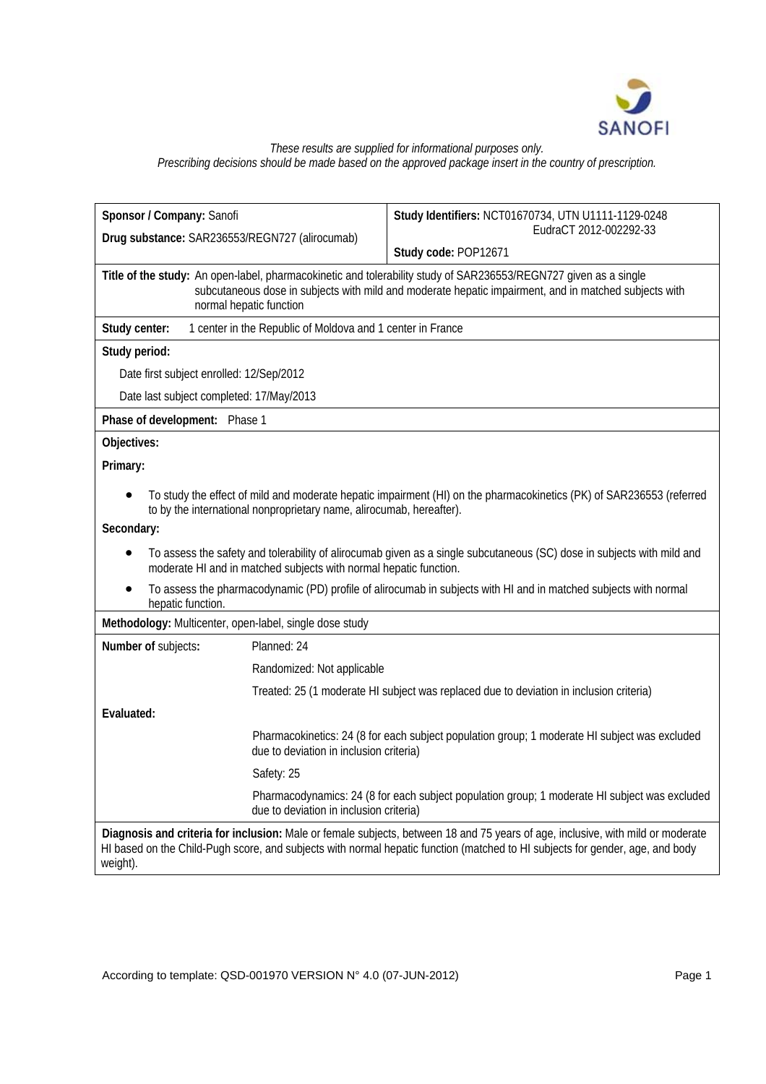

# *These results are supplied for informational purposes only. Prescribing decisions should be made based on the approved package insert in the country of prescription.*

| Sponsor / Company: Sanofi                                                                                                                   | Study Identifiers: NCT01670734, UTN U1111-1129-0248                                                                                                                                                                                                              |  |  |  |
|---------------------------------------------------------------------------------------------------------------------------------------------|------------------------------------------------------------------------------------------------------------------------------------------------------------------------------------------------------------------------------------------------------------------|--|--|--|
| Drug substance: SAR236553/REGN727 (alirocumab)                                                                                              | EudraCT 2012-002292-33                                                                                                                                                                                                                                           |  |  |  |
|                                                                                                                                             | Study code: POP12671                                                                                                                                                                                                                                             |  |  |  |
| Title of the study: An open-label, pharmacokinetic and tolerability study of SAR236553/REGN727 given as a single<br>normal hepatic function | subcutaneous dose in subjects with mild and moderate hepatic impairment, and in matched subjects with                                                                                                                                                            |  |  |  |
| Study center:<br>1 center in the Republic of Moldova and 1 center in France                                                                 |                                                                                                                                                                                                                                                                  |  |  |  |
| Study period:                                                                                                                               |                                                                                                                                                                                                                                                                  |  |  |  |
| Date first subject enrolled: 12/Sep/2012                                                                                                    |                                                                                                                                                                                                                                                                  |  |  |  |
| Date last subject completed: 17/May/2013                                                                                                    |                                                                                                                                                                                                                                                                  |  |  |  |
| Phase of development: Phase 1                                                                                                               |                                                                                                                                                                                                                                                                  |  |  |  |
| Objectives:                                                                                                                                 |                                                                                                                                                                                                                                                                  |  |  |  |
| Primary:                                                                                                                                    |                                                                                                                                                                                                                                                                  |  |  |  |
| to by the international nonproprietary name, alirocumab, hereafter).<br>Secondary:                                                          | To study the effect of mild and moderate hepatic impairment (HI) on the pharmacokinetics (PK) of SAR236553 (referred<br>To assess the safety and tolerability of alirocumab given as a single subcutaneous (SC) dose in subjects with mild and                   |  |  |  |
| moderate HI and in matched subjects with normal hepatic function.<br>hepatic function.                                                      | To assess the pharmacodynamic (PD) profile of alirocumab in subjects with HI and in matched subjects with normal                                                                                                                                                 |  |  |  |
| Methodology: Multicenter, open-label, single dose study                                                                                     |                                                                                                                                                                                                                                                                  |  |  |  |
| Planned: 24<br>Number of subjects:                                                                                                          |                                                                                                                                                                                                                                                                  |  |  |  |
| Randomized: Not applicable                                                                                                                  |                                                                                                                                                                                                                                                                  |  |  |  |
|                                                                                                                                             | Treated: 25 (1 moderate HI subject was replaced due to deviation in inclusion criteria)                                                                                                                                                                          |  |  |  |
| Evaluated:                                                                                                                                  |                                                                                                                                                                                                                                                                  |  |  |  |
| due to deviation in inclusion criteria)                                                                                                     | Pharmacokinetics: 24 (8 for each subject population group; 1 moderate HI subject was excluded                                                                                                                                                                    |  |  |  |
| Safety: 25                                                                                                                                  |                                                                                                                                                                                                                                                                  |  |  |  |
| due to deviation in inclusion criteria)                                                                                                     | Pharmacodynamics: 24 (8 for each subject population group; 1 moderate HI subject was excluded                                                                                                                                                                    |  |  |  |
| weight).                                                                                                                                    | Diagnosis and criteria for inclusion: Male or female subjects, between 18 and 75 years of age, inclusive, with mild or moderate<br>HI based on the Child-Pugh score, and subjects with normal hepatic function (matched to HI subjects for gender, age, and body |  |  |  |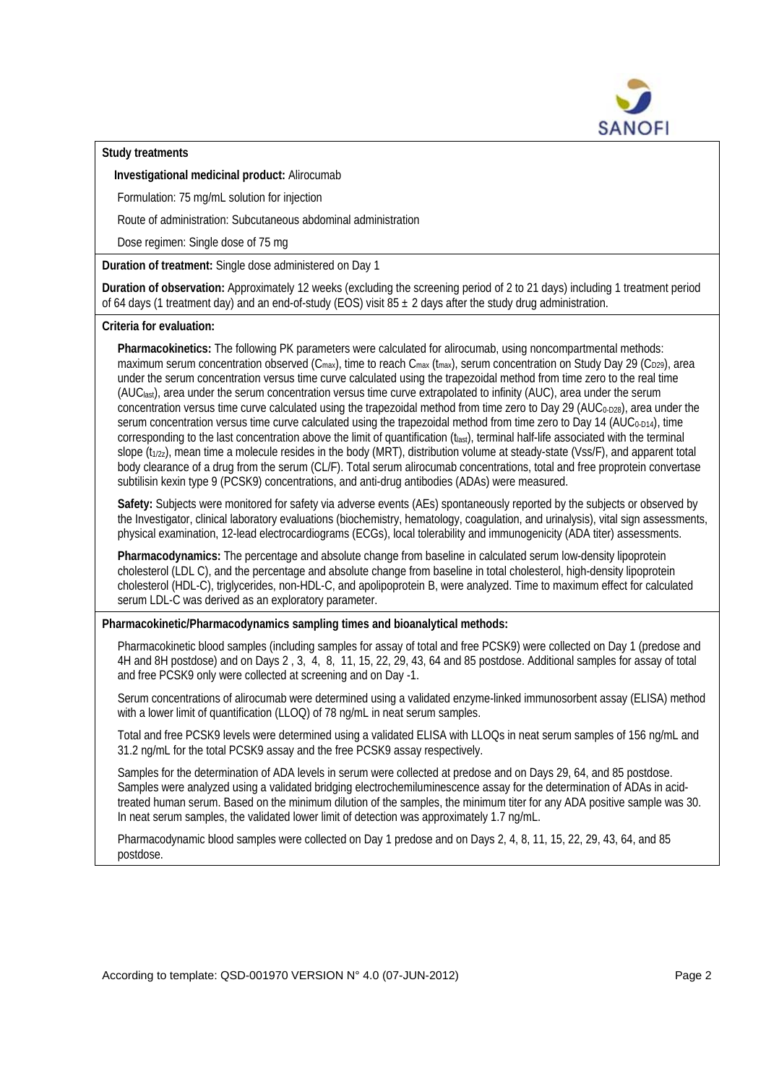

**Study treatments** 

**Investigational medicinal product:** Alirocumab

Formulation: 75 mg/mL solution for injection

Route of administration: Subcutaneous abdominal administration

Dose regimen: Single dose of 75 mg

**Duration of treatment:** Single dose administered on Day 1

**Duration of observation:** Approximately 12 weeks (excluding the screening period of 2 to 21 days) including 1 treatment period of 64 days (1 treatment day) and an end-of-study (EOS) visit 85  $\pm$  2 days after the study drug administration.

# **Criteria for evaluation:**

**Pharmacokinetics:** The following PK parameters were calculated for alirocumab, using noncompartmental methods: maximum serum concentration observed (C<sub>max</sub>), time to reach C<sub>max</sub> (t<sub>max</sub>), serum concentration on Study Day 29 (C<sub>D29</sub>), area under the serum concentration versus time curve calculated using the trapezoidal method from time zero to the real time (AUClast), area under the serum concentration versus time curve extrapolated to infinity (AUC), area under the serum concentration versus time curve calculated using the trapezoidal method from time zero to Day 29 (AUC<sub>0-D28</sub>), area under the serum concentration versus time curve calculated using the trapezoidal method from time zero to Day 14 (AUC<sub>0-D14</sub>), time corresponding to the last concentration above the limit of quantification  $(t<sub>last</sub>)$ , terminal half-life associated with the terminal slope  $(t_{1/2z})$ , mean time a molecule resides in the body (MRT), distribution volume at steady-state (Vss/F), and apparent total body clearance of a drug from the serum (CL/F). Total serum alirocumab concentrations, total and free proprotein convertase subtilisin kexin type 9 (PCSK9) concentrations, and anti-drug antibodies (ADAs) were measured.

**Safety:** Subjects were monitored for safety via adverse events (AEs) spontaneously reported by the subjects or observed by the Investigator, clinical laboratory evaluations (biochemistry, hematology, coagulation, and urinalysis), vital sign assessments, physical examination, 12-lead electrocardiograms (ECGs), local tolerability and immunogenicity (ADA titer) assessments.

**Pharmacodynamics:** The percentage and absolute change from baseline in calculated serum low-density lipoprotein cholesterol (LDL C), and the percentage and absolute change from baseline in total cholesterol, high-density lipoprotein cholesterol (HDL-C), triglycerides, non-HDL-C, and apolipoprotein B, were analyzed. Time to maximum effect for calculated serum LDL-C was derived as an exploratory parameter.

# **Pharmacokinetic/Pharmacodynamics sampling times and bioanalytical methods:**

Pharmacokinetic blood samples (including samples for assay of total and free PCSK9) were collected on Day 1 (predose and 4H and 8H postdose) and on Days 2 , 3, 4, 8, 11, 15, 22, 29, 43, 64 and 85 postdose. Additional samples for assay of total and free PCSK9 only were collected at screening and on Day -1.

Serum concentrations of alirocumab were determined using a validated enzyme-linked immunosorbent assay (ELISA) method with a lower limit of quantification (LLOQ) of 78 ng/mL in neat serum samples.

Total and free PCSK9 levels were determined using a validated ELISA with LLOQs in neat serum samples of 156 ng/mL and 31.2 ng/mL for the total PCSK9 assay and the free PCSK9 assay respectively.

Samples for the determination of ADA levels in serum were collected at predose and on Days 29, 64, and 85 postdose. Samples were analyzed using a validated bridging electrochemiluminescence assay for the determination of ADAs in acidtreated human serum. Based on the minimum dilution of the samples, the minimum titer for any ADA positive sample was 30. In neat serum samples, the validated lower limit of detection was approximately 1.7 ng/mL.

Pharmacodynamic blood samples were collected on Day 1 predose and on Days 2, 4, 8, 11, 15, 22, 29, 43, 64, and 85 postdose.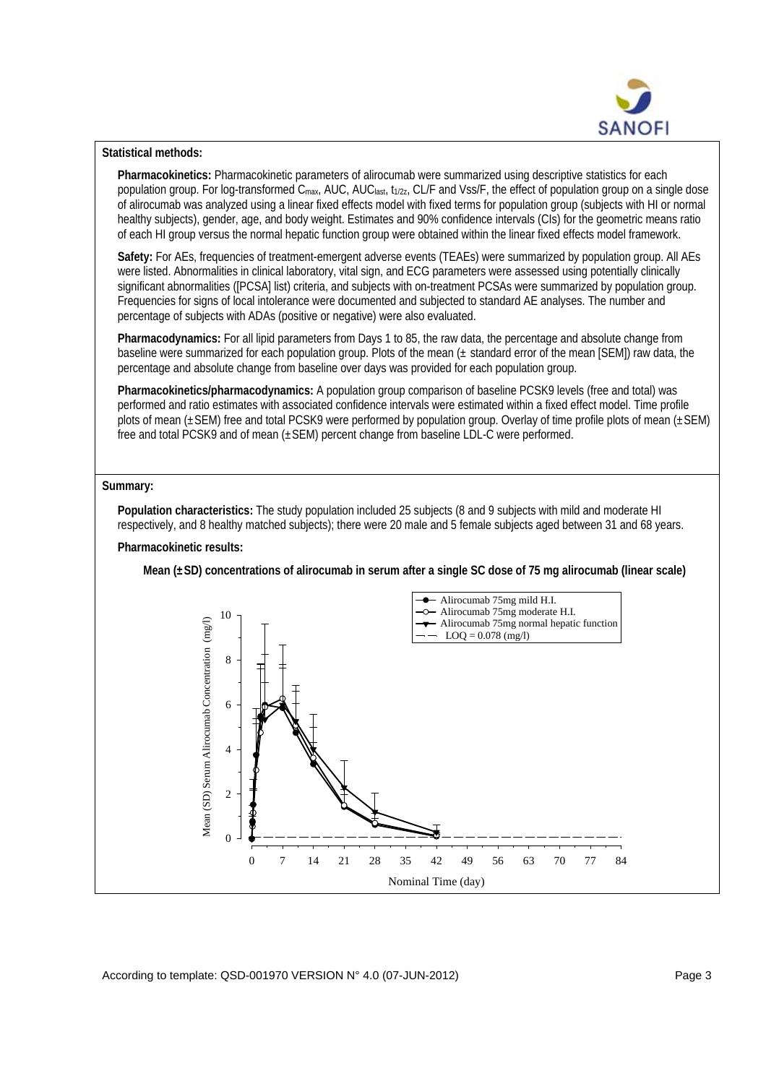

# **Statistical methods:**

**Pharmacokinetics:** Pharmacokinetic parameters of alirocumab were summarized using descriptive statistics for each population group. For log-transformed C<sub>max</sub>, AUC, AUC<sub>last</sub>, t<sub>1/2z</sub>, CL/F and Vss/F, the effect of population group on a single dose of alirocumab was analyzed using a linear fixed effects model with fixed terms for population group (subjects with HI or normal healthy subjects), gender, age, and body weight. Estimates and 90% confidence intervals (CIs) for the geometric means ratio of each HI group versus the normal hepatic function group were obtained within the linear fixed effects model framework.

**Safety:** For AEs, frequencies of treatment-emergent adverse events (TEAEs) were summarized by population group. All AEs were listed. Abnormalities in clinical laboratory, vital sign, and ECG parameters were assessed using potentially clinically significant abnormalities ([PCSA] list) criteria, and subjects with on-treatment PCSAs were summarized by population group. Frequencies for signs of local intolerance were documented and subjected to standard AE analyses. The number and percentage of subjects with ADAs (positive or negative) were also evaluated.

**Pharmacodynamics:** For all lipid parameters from Days 1 to 85, the raw data, the percentage and absolute change from baseline were summarized for each population group. Plots of the mean  $(\pm$  standard error of the mean [SEM]) raw data, the percentage and absolute change from baseline over days was provided for each population group.

**Pharmacokinetics/pharmacodynamics:** A population group comparison of baseline PCSK9 levels (free and total) was performed and ratio estimates with associated confidence intervals were estimated within a fixed effect model. Time profile plots of mean (±SEM) free and total PCSK9 were performed by population group. Overlay of time profile plots of mean (±SEM) free and total PCSK9 and of mean (±SEM) percent change from baseline LDL-C were performed.

#### **Summary:**

**Population characteristics:** The study population included 25 subjects (8 and 9 subjects with mild and moderate HI respectively, and 8 healthy matched subjects); there were 20 male and 5 female subjects aged between 31 and 68 years.

# **Pharmacokinetic results:**

**Mean (±SD) concentrations of alirocumab in serum after a single SC dose of 75 mg alirocumab (linear scale)** 

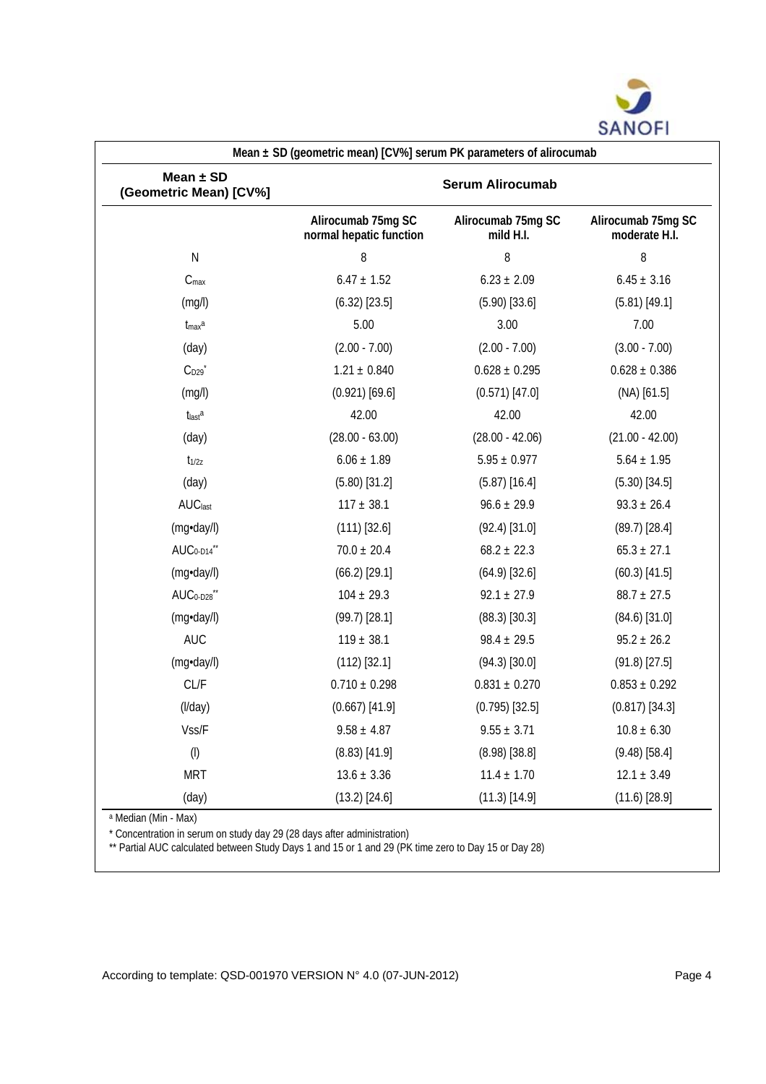

| Mean $\pm$ SD<br>(Geometric Mean) [CV%] | <b>Serum Alirocumab</b>                       |                                 |                                     |
|-----------------------------------------|-----------------------------------------------|---------------------------------|-------------------------------------|
|                                         | Alirocumab 75mg SC<br>normal hepatic function | Alirocumab 75mg SC<br>mild H.I. | Alirocumab 75mg SC<br>moderate H.I. |
| ${\sf N}$                               | 8                                             | 8                               | 8                                   |
| $C_{\text{max}}$                        | $6.47 \pm 1.52$                               | $6.23 \pm 2.09$                 | $6.45 \pm 3.16$                     |
| (mg/l)                                  | $(6.32)$ [23.5]                               | $(5.90)$ [33.6]                 | $(5.81)$ [49.1]                     |
| $t_{max}$ a                             | 5.00                                          | 3.00                            | 7.00                                |
| (day)                                   | $(2.00 - 7.00)$                               | $(2.00 - 7.00)$                 | $(3.00 - 7.00)$                     |
| $C_{D29}$                               | $1.21 \pm 0.840$                              | $0.628 \pm 0.295$               | $0.628 \pm 0.386$                   |
| (mg/l)                                  | $(0.921)$ [69.6]                              | $(0.571)$ [47.0]                | $(NA)$ [61.5]                       |
| tlasta                                  | 42.00                                         | 42.00                           | 42.00                               |
| (day)                                   | $(28.00 - 63.00)$                             | $(28.00 - 42.06)$               | $(21.00 - 42.00)$                   |
| $t_{1/2z}$                              | $6.06 \pm 1.89$                               | $5.95 \pm 0.977$                | $5.64 \pm 1.95$                     |
| (day)                                   | $(5.80)$ [31.2]                               | $(5.87)$ [16.4]                 | $(5.30)$ [34.5]                     |
| <b>AUC</b> last                         | $117 \pm 38.1$                                | $96.6 \pm 29.9$                 | $93.3 \pm 26.4$                     |
| (mg·day/l)                              | $(111)$ [32.6]                                | $(92.4)$ [31.0]                 | $(89.7)$ [28.4]                     |
| AUC <sub>0-D14</sub> **                 | $70.0 \pm 20.4$                               | $68.2 \pm 22.3$                 | $65.3 \pm 27.1$                     |
| (mg·day/l)                              | $(66.2)$ [29.1]                               | $(64.9)$ [32.6]                 | $(60.3)$ [41.5]                     |
| AUC <sub>0-D28</sub> **                 | $104 \pm 29.3$                                | $92.1 \pm 27.9$                 | $88.7 \pm 27.5$                     |
| (mg·day/l)                              | $(99.7)$ [28.1]                               | $(88.3)$ [30.3]                 | $(84.6)$ [31.0]                     |
| <b>AUC</b>                              | $119 \pm 38.1$                                | $98.4 \pm 29.5$                 | $95.2 \pm 26.2$                     |
| (mg·day/l)                              | $(112)$ [32.1]                                | $(94.3)$ [30.0]                 | $(91.8)$ [27.5]                     |
| CL/F                                    | $0.710 \pm 0.298$                             | $0.831 \pm 0.270$               | $0.853 \pm 0.292$                   |
| (I/day)                                 | $(0.667)$ [41.9]                              | $(0.795)$ [32.5]                | $(0.817)$ [34.3]                    |
| Vss/F                                   | $9.58 \pm 4.87$                               | $9.55 \pm 3.71$                 | $10.8 \pm 6.30$                     |
| $\left(\mathsf{I}\right)$               | $(8.83)$ [41.9]                               | $(8.98)$ [38.8]                 | $(9.48)$ [58.4]                     |
| <b>MRT</b>                              | $13.6 \pm 3.36$                               | $11.4 \pm 1.70$                 | $12.1 \pm 3.49$                     |
| (day)                                   | $(13.2)$ [24.6]                               | $(11.3)$ [14.9]                 | $(11.6)$ [28.9]                     |

a Median (Min - Max)

 $\mathsf{r}$ 

\* Concentration in serum on study day 29 (28 days after administration)

\*\* Partial AUC calculated between Study Days 1 and 15 or 1 and 29 (PK time zero to Day 15 or Day 28)

According to template: QSD-001970 VERSION N° 4.0 (07-JUN-2012) Page 4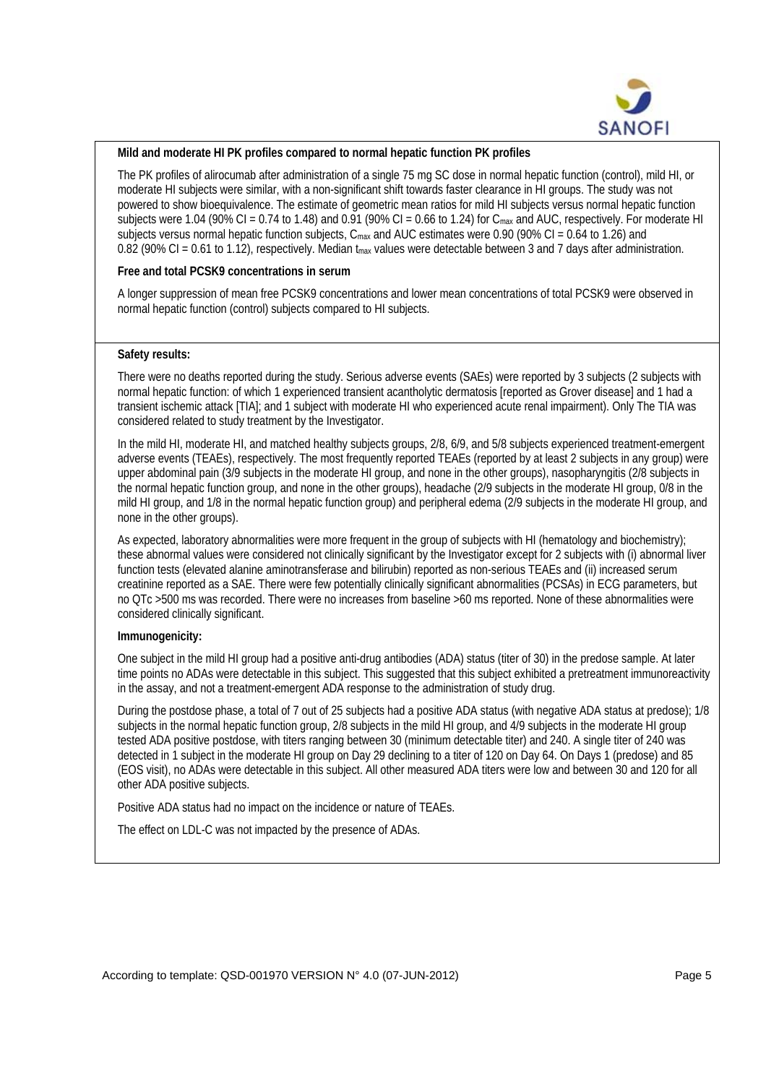

### **Mild and moderate HI PK profiles compared to normal hepatic function PK profiles**

The PK profiles of alirocumab after administration of a single 75 mg SC dose in normal hepatic function (control), mild HI, or moderate HI subjects were similar, with a non-significant shift towards faster clearance in HI groups. The study was not powered to show bioequivalence. The estimate of geometric mean ratios for mild HI subjects versus normal hepatic function subjects were 1.04 (90% CI = 0.74 to 1.48) and 0.91 (90% CI = 0.66 to 1.24) for  $C_{\text{max}}$  and AUC, respectively. For moderate HI subjects versus normal hepatic function subjects,  $C_{\text{max}}$  and AUC estimates were 0.90 (90% CI = 0.64 to 1.26) and 0.82 (90% CI = 0.61 to 1.12), respectively. Median  $t_{max}$  values were detectable between 3 and 7 days after administration.

#### **Free and total PCSK9 concentrations in serum**

A longer suppression of mean free PCSK9 concentrations and lower mean concentrations of total PCSK9 were observed in normal hepatic function (control) subjects compared to HI subjects.

# **Safety results:**

There were no deaths reported during the study. Serious adverse events (SAEs) were reported by 3 subjects (2 subjects with normal hepatic function: of which 1 experienced transient acantholytic dermatosis [reported as Grover disease] and 1 had a transient ischemic attack [TIA]; and 1 subject with moderate HI who experienced acute renal impairment). Only The TIA was considered related to study treatment by the Investigator.

In the mild HI, moderate HI, and matched healthy subjects groups, 2/8, 6/9, and 5/8 subjects experienced treatment-emergent adverse events (TEAEs), respectively. The most frequently reported TEAEs (reported by at least 2 subjects in any group) were upper abdominal pain (3/9 subjects in the moderate HI group, and none in the other groups), nasopharyngitis (2/8 subjects in the normal hepatic function group, and none in the other groups), headache (2/9 subjects in the moderate HI group, 0/8 in the mild HI group, and 1/8 in the normal hepatic function group) and peripheral edema (2/9 subjects in the moderate HI group, and none in the other groups).

As expected, laboratory abnormalities were more frequent in the group of subjects with HI (hematology and biochemistry); these abnormal values were considered not clinically significant by the Investigator except for 2 subjects with (i) abnormal liver function tests (elevated alanine aminotransferase and bilirubin) reported as non-serious TEAEs and (ii) increased serum creatinine reported as a SAE. There were few potentially clinically significant abnormalities (PCSAs) in ECG parameters, but no QTc >500 ms was recorded. There were no increases from baseline >60 ms reported. None of these abnormalities were considered clinically significant.

# **Immunogenicity:**

One subject in the mild HI group had a positive anti-drug antibodies (ADA) status (titer of 30) in the predose sample. At later time points no ADAs were detectable in this subject. This suggested that this subject exhibited a pretreatment immunoreactivity in the assay, and not a treatment-emergent ADA response to the administration of study drug.

During the postdose phase, a total of 7 out of 25 subjects had a positive ADA status (with negative ADA status at predose); 1/8 subjects in the normal hepatic function group, 2/8 subjects in the mild HI group, and 4/9 subjects in the moderate HI group tested ADA positive postdose, with titers ranging between 30 (minimum detectable titer) and 240. A single titer of 240 was detected in 1 subject in the moderate HI group on Day 29 declining to a titer of 120 on Day 64. On Days 1 (predose) and 85 (EOS visit), no ADAs were detectable in this subject. All other measured ADA titers were low and between 30 and 120 for all other ADA positive subjects.

Positive ADA status had no impact on the incidence or nature of TEAEs.

The effect on LDL-C was not impacted by the presence of ADAs.